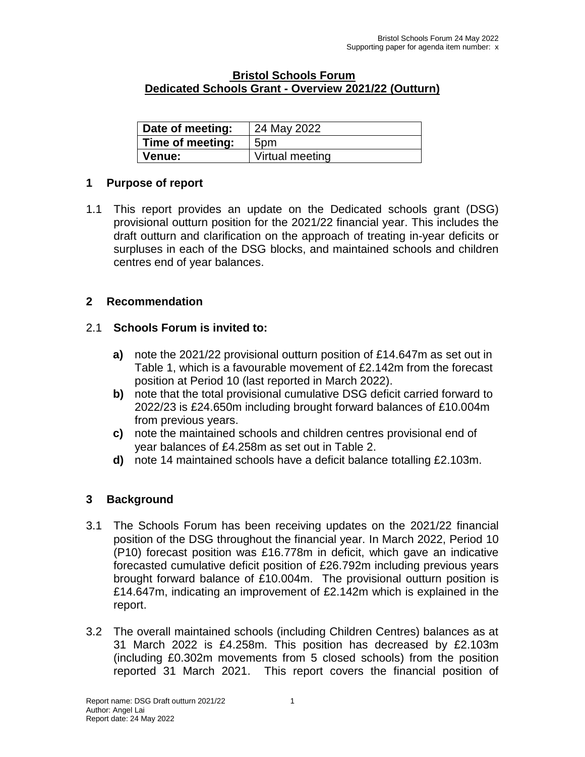#### **Bristol Schools Forum Dedicated Schools Grant - Overview 2021/22 (Outturn)**

| Date of meeting: | 24 May 2022     |
|------------------|-----------------|
| Time of meeting: | 5pm             |
| Venue:           | Virtual meeting |

### **1 Purpose of report**

1.1 This report provides an update on the Dedicated schools grant (DSG) provisional outturn position for the 2021/22 financial year. This includes the draft outturn and clarification on the approach of treating in-year deficits or surpluses in each of the DSG blocks, and maintained schools and children centres end of year balances.

#### **2 Recommendation**

#### 2.1 **Schools Forum is invited to:**

- **a)** note the 2021/22 provisional outturn position of £14.647m as set out in Table 1, which is a favourable movement of £2.142m from the forecast position at Period 10 (last reported in March 2022).
- **b)** note that the total provisional cumulative DSG deficit carried forward to 2022/23 is £24.650m including brought forward balances of £10.004m from previous years.
- **c)** note the maintained schools and children centres provisional end of year balances of £4.258m as set out in Table 2.
- **d)** note 14 maintained schools have a deficit balance totalling £2.103m.

#### **3 Background**

- 3.1 The Schools Forum has been receiving updates on the 2021/22 financial position of the DSG throughout the financial year. In March 2022, Period 10 (P10) forecast position was £16.778m in deficit, which gave an indicative forecasted cumulative deficit position of £26.792m including previous years brought forward balance of £10.004m. The provisional outturn position is £14.647m, indicating an improvement of £2.142m which is explained in the report.
- 3.2 The overall maintained schools (including Children Centres) balances as at 31 March 2022 is £4.258m. This position has decreased by £2.103m (including £0.302m movements from 5 closed schools) from the position reported 31 March 2021. This report covers the financial position of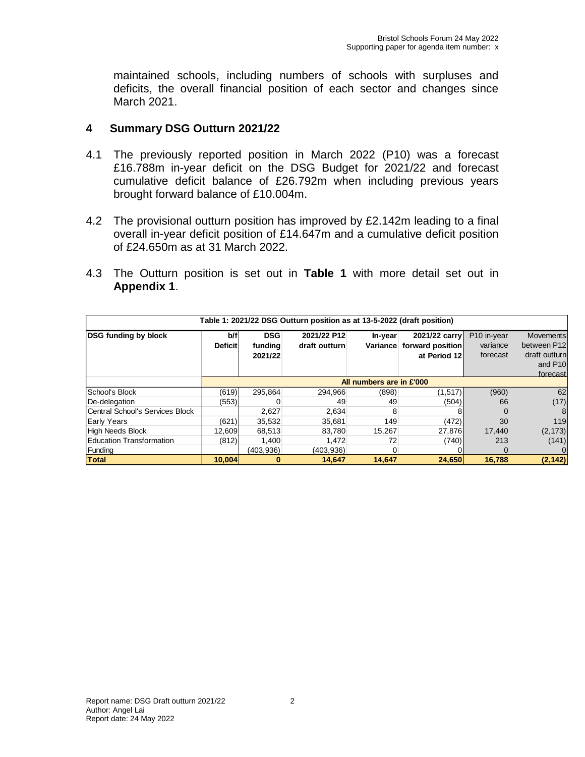maintained schools, including numbers of schools with surpluses and deficits, the overall financial position of each sector and changes since March 2021.

## **4 Summary DSG Outturn 2021/22**

- 4.1 The previously reported position in March 2022 (P10) was a forecast £16.788m in-year deficit on the DSG Budget for 2021/22 and forecast cumulative deficit balance of £26.792m when including previous years brought forward balance of £10.004m.
- 4.2 The provisional outturn position has improved by £2.142m leading to a final overall in-year deficit position of £14.647m and a cumulative deficit position of £24.650m as at 31 March 2022.
- 4.3 The Outturn position is set out in **Table 1** with more detail set out in **Appendix 1**.

| Table 1: 2021/22 DSG Outturn position as at 13-5-2022 (draft position) |                          |                                  |                              |                     |                                                   |                                     |                                                                                     |
|------------------------------------------------------------------------|--------------------------|----------------------------------|------------------------------|---------------------|---------------------------------------------------|-------------------------------------|-------------------------------------------------------------------------------------|
| <b>DSG funding by block</b>                                            | b/f<br><b>Deficit</b>    | <b>DSG</b><br>funding<br>2021/22 | 2021/22 P12<br>draft outturn | In-year<br>Variance | 2021/22 carry<br>forward position<br>at Period 12 | P10 in-year<br>variance<br>forecast | <b>Movements</b><br>between P12<br>draft outturn<br>and P <sub>10</sub><br>forecast |
|                                                                        | All numbers are in £'000 |                                  |                              |                     |                                                   |                                     |                                                                                     |
| School's Block                                                         | (619)                    | 295.864                          | 294.966                      | (898)               | (1,517)                                           | (960)                               | 62                                                                                  |
| De-delegation                                                          | (553)                    |                                  | 49                           | 49                  | (504)                                             | 66                                  | (17)                                                                                |
| Central School's Services Block                                        |                          | 2,627                            | 2.634                        | 8                   |                                                   |                                     | 8                                                                                   |
| Early Years                                                            | (621)                    | 35.532                           | 35.681                       | 149                 | (472)                                             | 30                                  | 119                                                                                 |
| High Needs Block                                                       | 12,609                   | 68,513                           | 83.780                       | 15,267              | 27,876                                            | 17,440                              | (2, 173)                                                                            |
| <b>Education Transformation</b>                                        | (812)                    | 1,400                            | 1,472                        | 72                  | (740)                                             | 213                                 | (141)                                                                               |
| Funding                                                                |                          | (403.936)                        | (403.936)                    | 0                   |                                                   |                                     |                                                                                     |
| Total                                                                  | 10.004                   | 0                                | 14.647                       | 14.647              | 24,650                                            | 16.788                              | (2, 142)                                                                            |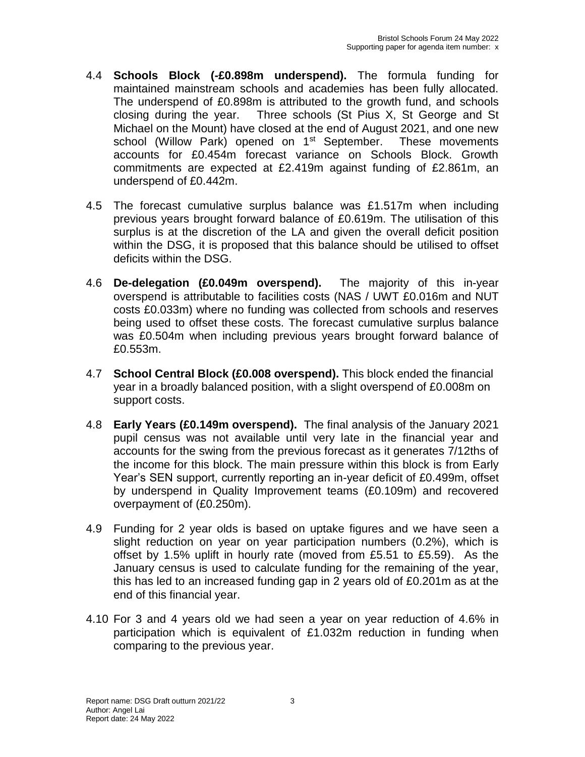- 4.4 **Schools Block (-£0.898m underspend).** The formula funding for maintained mainstream schools and academies has been fully allocated. The underspend of £0.898m is attributed to the growth fund, and schools closing during the year. Three schools (St Pius X, St George and St Michael on the Mount) have closed at the end of August 2021, and one new school (Willow Park) opened on 1<sup>st</sup> September. These movements accounts for £0.454m forecast variance on Schools Block. Growth commitments are expected at £2.419m against funding of £2.861m, an underspend of £0.442m.
- 4.5 The forecast cumulative surplus balance was £1.517m when including previous years brought forward balance of £0.619m. The utilisation of this surplus is at the discretion of the LA and given the overall deficit position within the DSG, it is proposed that this balance should be utilised to offset deficits within the DSG.
- 4.6 **De-delegation (£0.049m overspend).** The majority of this in-year overspend is attributable to facilities costs (NAS / UWT £0.016m and NUT costs £0.033m) where no funding was collected from schools and reserves being used to offset these costs. The forecast cumulative surplus balance was £0.504m when including previous years brought forward balance of £0.553m.
- 4.7 **School Central Block (£0.008 overspend).** This block ended the financial year in a broadly balanced position, with a slight overspend of £0.008m on support costs.
- 4.8 **Early Years (£0.149m overspend).** The final analysis of the January 2021 pupil census was not available until very late in the financial year and accounts for the swing from the previous forecast as it generates 7/12ths of the income for this block. The main pressure within this block is from Early Year's SEN support, currently reporting an in-year deficit of £0.499m, offset by underspend in Quality Improvement teams (£0.109m) and recovered overpayment of (£0.250m).
- 4.9 Funding for 2 year olds is based on uptake figures and we have seen a slight reduction on year on year participation numbers (0.2%), which is offset by 1.5% uplift in hourly rate (moved from £5.51 to £5.59). As the January census is used to calculate funding for the remaining of the year, this has led to an increased funding gap in 2 years old of £0.201m as at the end of this financial year.
- 4.10 For 3 and 4 years old we had seen a year on year reduction of 4.6% in participation which is equivalent of £1.032m reduction in funding when comparing to the previous year.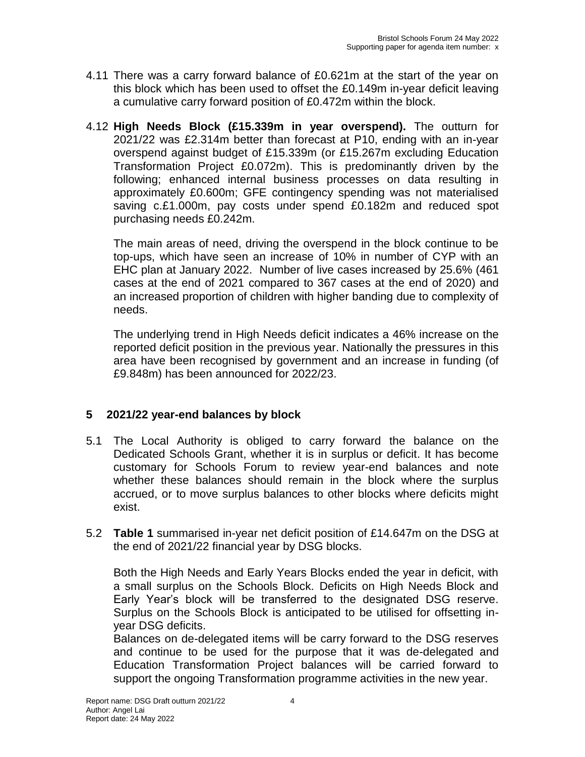- 4.11 There was a carry forward balance of £0.621m at the start of the year on this block which has been used to offset the £0.149m in-year deficit leaving a cumulative carry forward position of £0.472m within the block.
- 4.12 **High Needs Block (£15.339m in year overspend).** The outturn for 2021/22 was £2.314m better than forecast at P10, ending with an in-year overspend against budget of £15.339m (or £15.267m excluding Education Transformation Project £0.072m). This is predominantly driven by the following; enhanced internal business processes on data resulting in approximately £0.600m; GFE contingency spending was not materialised saving c.£1.000m, pay costs under spend £0.182m and reduced spot purchasing needs £0.242m.

The main areas of need, driving the overspend in the block continue to be top-ups, which have seen an increase of 10% in number of CYP with an EHC plan at January 2022. Number of live cases increased by 25.6% (461 cases at the end of 2021 compared to 367 cases at the end of 2020) and an increased proportion of children with higher banding due to complexity of needs.

The underlying trend in High Needs deficit indicates a 46% increase on the reported deficit position in the previous year. Nationally the pressures in this area have been recognised by government and an increase in funding (of £9.848m) has been announced for 2022/23.

## **5 2021/22 year-end balances by block**

- 5.1 The Local Authority is obliged to carry forward the balance on the Dedicated Schools Grant, whether it is in surplus or deficit. It has become customary for Schools Forum to review year-end balances and note whether these balances should remain in the block where the surplus accrued, or to move surplus balances to other blocks where deficits might exist.
- 5.2 **Table 1** summarised in-year net deficit position of £14.647m on the DSG at the end of 2021/22 financial year by DSG blocks.

Both the High Needs and Early Years Blocks ended the year in deficit, with a small surplus on the Schools Block. Deficits on High Needs Block and Early Year's block will be transferred to the designated DSG reserve. Surplus on the Schools Block is anticipated to be utilised for offsetting inyear DSG deficits.

Balances on de-delegated items will be carry forward to the DSG reserves and continue to be used for the purpose that it was de-delegated and Education Transformation Project balances will be carried forward to support the ongoing Transformation programme activities in the new year.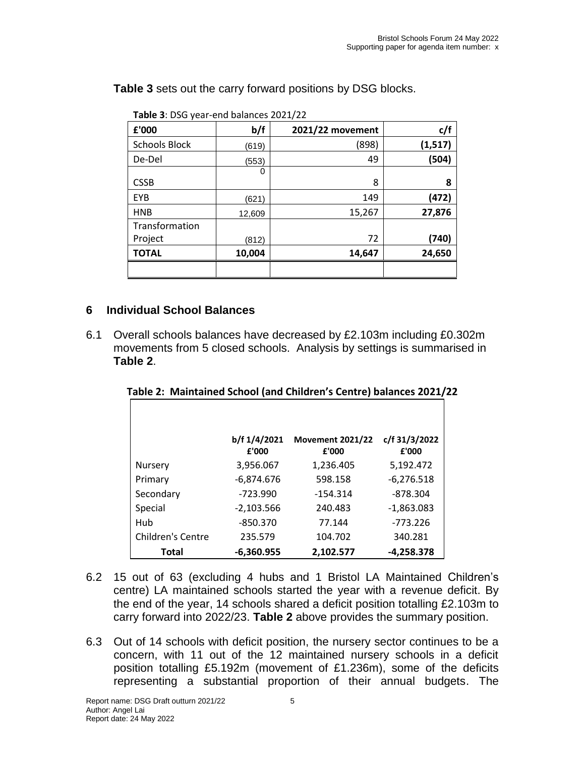**Table 3** sets out the carry forward positions by DSG blocks.

| <b>Table 3.</b> D30 year-end balances 2021/22 |        |                  |          |  |  |
|-----------------------------------------------|--------|------------------|----------|--|--|
| £'000                                         | b/f    | 2021/22 movement | c/f      |  |  |
| <b>Schools Block</b>                          | (619)  | (898)            | (1, 517) |  |  |
| De-Del                                        | (553)  | 49               | (504)    |  |  |
|                                               | 0      |                  |          |  |  |
| <b>CSSB</b>                                   |        | 8                | 8        |  |  |
| <b>EYB</b>                                    | (621)  | 149              | (472)    |  |  |
| <b>HNB</b>                                    | 12,609 | 15,267           | 27,876   |  |  |
| Transformation                                |        |                  |          |  |  |
| Project                                       | (812)  | 72               | (740)    |  |  |
| <b>TOTAL</b>                                  | 10,004 | 14,647           | 24,650   |  |  |
|                                               |        |                  |          |  |  |

**Table 3**: DSG year-end balances 2021/22

# **6 Individual School Balances**

6.1 Overall schools balances have decreased by £2.103m including £0.302m movements from 5 closed schools. Analysis by settings is summarised in **Table 2**.

|                   | b/f 1/4/2021 | <b>Movement 2021/22</b> | c/f 31/3/2022 |
|-------------------|--------------|-------------------------|---------------|
|                   | £'000        | £'000                   | £'000         |
| Nursery           | 3,956.067    | 1,236.405               | 5,192.472     |
| Primary           | $-6,874.676$ | 598.158                 | $-6,276.518$  |
| Secondary         | $-723.990$   | $-154.314$              | $-878.304$    |
| Special           | $-2,103.566$ | 240.483                 | $-1,863.083$  |
| Hub               | $-850.370$   | 77.144                  | $-773.226$    |
| Children's Centre | 235.579      | 104.702                 | 340.281       |
| Total             | $-6,360.955$ | 2.102.577               | $-4,258.378$  |

**Table 2: Maintained School (and Children's Centre) balances 2021/22**

- 6.2 15 out of 63 (excluding 4 hubs and 1 Bristol LA Maintained Children's centre) LA maintained schools started the year with a revenue deficit. By the end of the year, 14 schools shared a deficit position totalling £2.103m to carry forward into 2022/23. **Table 2** above provides the summary position.
- 6.3 Out of 14 schools with deficit position, the nursery sector continues to be a concern, with 11 out of the 12 maintained nursery schools in a deficit position totalling £5.192m (movement of £1.236m), some of the deficits representing a substantial proportion of their annual budgets. The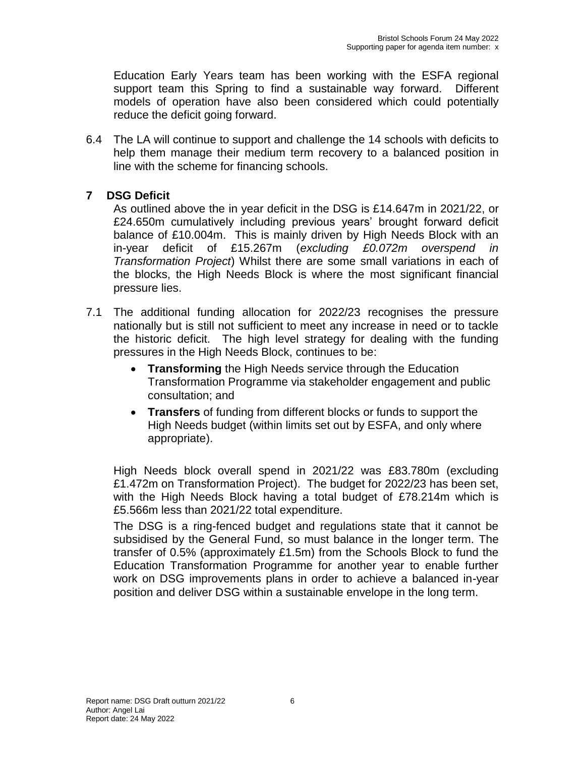Education Early Years team has been working with the ESFA regional support team this Spring to find a sustainable way forward. Different models of operation have also been considered which could potentially reduce the deficit going forward.

6.4 The LA will continue to support and challenge the 14 schools with deficits to help them manage their medium term recovery to a balanced position in line with the scheme for financing schools.

## **7 DSG Deficit**

As outlined above the in year deficit in the DSG is £14.647m in 2021/22, or £24.650m cumulatively including previous years' brought forward deficit balance of £10.004m. This is mainly driven by High Needs Block with an in-year deficit of £15.267m (*excluding £0.072m overspend in Transformation Project*) Whilst there are some small variations in each of the blocks, the High Needs Block is where the most significant financial pressure lies.

- 7.1 The additional funding allocation for 2022/23 recognises the pressure nationally but is still not sufficient to meet any increase in need or to tackle the historic deficit. The high level strategy for dealing with the funding pressures in the High Needs Block, continues to be:
	- **Transforming** the High Needs service through the Education Transformation Programme via stakeholder engagement and public consultation; and
	- **Transfers** of funding from different blocks or funds to support the High Needs budget (within limits set out by ESFA, and only where appropriate).

High Needs block overall spend in 2021/22 was £83.780m (excluding £1.472m on Transformation Project). The budget for 2022/23 has been set, with the High Needs Block having a total budget of £78.214m which is £5.566m less than 2021/22 total expenditure.

The DSG is a ring-fenced budget and regulations state that it cannot be subsidised by the General Fund, so must balance in the longer term. The transfer of 0.5% (approximately £1.5m) from the Schools Block to fund the Education Transformation Programme for another year to enable further work on DSG improvements plans in order to achieve a balanced in-year position and deliver DSG within a sustainable envelope in the long term.